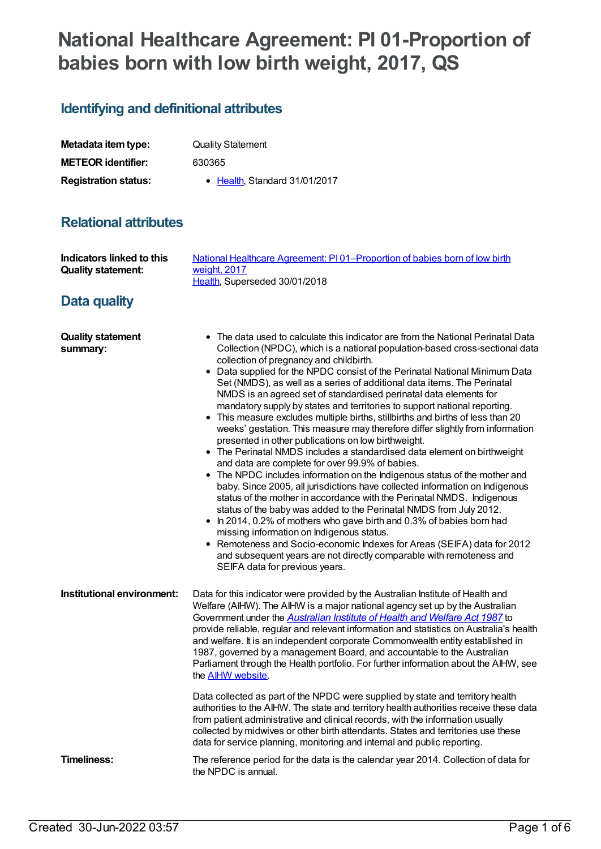# **National Healthcare Agreement: PI 01-Proportion of babies born with low birth weight, 2017, QS**

## **Identifying and definitional attributes**

| Metadata item type:         | <b>Quality Statement</b>              |
|-----------------------------|---------------------------------------|
| <b>METEOR identifier:</b>   | 630365                                |
| <b>Registration status:</b> | $\bullet$ Health. Standard 31/01/2017 |

### **Relational attributes**

| <b>Indicators linked to this</b><br><b>Quality statement:</b> | National Healthcare Agreement: PI01-Proportion of babies born of low birth<br>weight, 2017<br>Health, Superseded 30/01/2018                                                                                                                                                                                                                                                                                                                                                                                                                                                                                                                                                                                                                                                                                                                                                                                                                                                                                                                                                                                                                                                                                                                                                                                                                                                                                                                                                                            |
|---------------------------------------------------------------|--------------------------------------------------------------------------------------------------------------------------------------------------------------------------------------------------------------------------------------------------------------------------------------------------------------------------------------------------------------------------------------------------------------------------------------------------------------------------------------------------------------------------------------------------------------------------------------------------------------------------------------------------------------------------------------------------------------------------------------------------------------------------------------------------------------------------------------------------------------------------------------------------------------------------------------------------------------------------------------------------------------------------------------------------------------------------------------------------------------------------------------------------------------------------------------------------------------------------------------------------------------------------------------------------------------------------------------------------------------------------------------------------------------------------------------------------------------------------------------------------------|
| Data quality                                                  |                                                                                                                                                                                                                                                                                                                                                                                                                                                                                                                                                                                                                                                                                                                                                                                                                                                                                                                                                                                                                                                                                                                                                                                                                                                                                                                                                                                                                                                                                                        |
| <b>Quality statement</b><br>summary:                          | • The data used to calculate this indicator are from the National Perinatal Data<br>Collection (NPDC), which is a national population-based cross-sectional data<br>collection of pregnancy and childbirth.<br>• Data supplied for the NPDC consist of the Perinatal National Minimum Data<br>Set (NMDS), as well as a series of additional data items. The Perinatal<br>NMDS is an agreed set of standardised perinatal data elements for<br>mandatory supply by states and territories to support national reporting.<br>• This measure excludes multiple births, stillbirths and births of less than 20<br>weeks' gestation. This measure may therefore differ slightly from information<br>presented in other publications on low birthweight.<br>• The Perinatal NMDS includes a standardised data element on birthweight<br>and data are complete for over 99.9% of babies.<br>• The NPDC includes information on the Indigenous status of the mother and<br>baby. Since 2005, all jurisdictions have collected information on Indigenous<br>status of the mother in accordance with the Perinatal NMDS. Indigenous<br>status of the baby was added to the Perinatal NMDS from July 2012.<br>In 2014, 0.2% of mothers who gave birth and 0.3% of babies born had<br>missing information on Indigenous status.<br>Remoteness and Socio-economic Indexes for Areas (SEIFA) data for 2012<br>and subsequent years are not directly comparable with remoteness and<br>SEIFA data for previous years. |
| Institutional environment:                                    | Data for this indicator were provided by the Australian Institute of Health and<br>Welfare (AIHW). The AIHW is a major national agency set up by the Australian<br>Government under the <b>Australian Institute of Health and Welfare Act 1987</b> to<br>provide reliable, regular and relevant information and statistics on Australia's health<br>and welfare. It is an independent corporate Commonwealth entity established in<br>1987, governed by a management Board, and accountable to the Australian<br>Parliament through the Health portfolio. For further information about the AIHW, see<br>the <b>AIHW</b> website.<br>Data collected as part of the NPDC were supplied by state and territory health                                                                                                                                                                                                                                                                                                                                                                                                                                                                                                                                                                                                                                                                                                                                                                                    |
|                                                               | authorities to the AIHW. The state and territory health authorities receive these data<br>from patient administrative and clinical records, with the information usually<br>collected by midwives or other birth attendants. States and territories use these<br>data for service planning, monitoring and internal and public reporting.                                                                                                                                                                                                                                                                                                                                                                                                                                                                                                                                                                                                                                                                                                                                                                                                                                                                                                                                                                                                                                                                                                                                                              |
| <b>Timeliness:</b>                                            | The reference period for the data is the calendar year 2014. Collection of data for<br>the NPDC is annual.                                                                                                                                                                                                                                                                                                                                                                                                                                                                                                                                                                                                                                                                                                                                                                                                                                                                                                                                                                                                                                                                                                                                                                                                                                                                                                                                                                                             |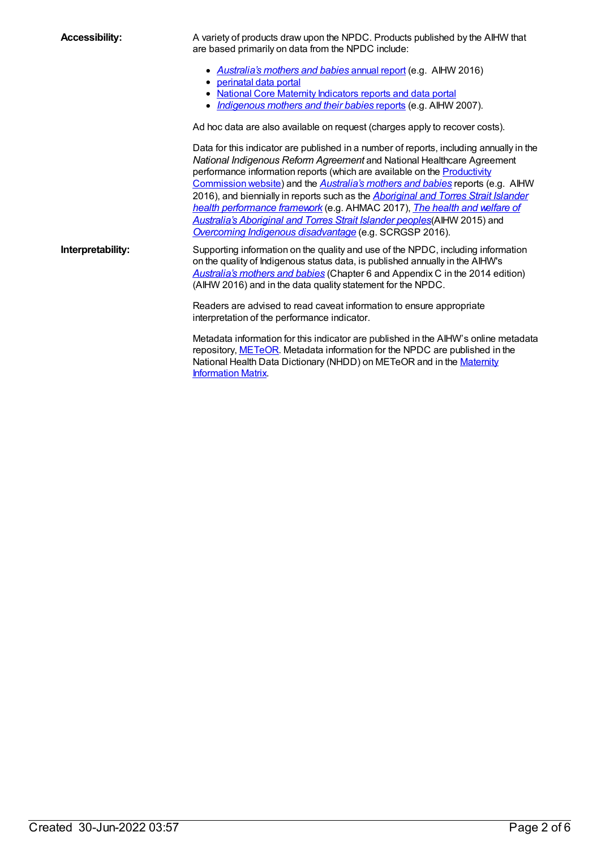**Accessibility:** A variety of products draw upon the NPDC. Products published by the AIHW that are based primarily on data from the NPDC include:

- *[Australia's](http://www.aihw.gov.au/publication-detail/?id=60129557656) mothers and babies* annual report (e.g. AIHW 2016)
- [perinatal](http://www.aihw.gov.au/perinatal-data/) data portal
- National Core Maternity [Indicators](http://www.aihw.gov.au/ncmi/) reports and data portal
- *[Indigenous](http://www.aihw.gov.au/publication-detail/?id=6442468038) mothers and their babies* reports (e.g. AIHW 2007).

Ad hoc data are also available on request (charges apply to recover costs).

Data for this indicator are published in a number of reports, including annually in the *National Indigenous Reform Agreement* and National Healthcare Agreement [performance](http://www.pc.gov.au/research/supporting/national-agreements) information reports (which are available on the Productivity Commission website) and the *[Australia's](http://www.aihw.gov.au/mothers-and-babies/) mothers and babies* reports (e.g. AIHW 2016), and biennially in reports such as the *Aboriginal and Torres Strait Islander health [performance](http://www.aihw.gov.au/publication-detail/?id=60129550168) framework* (e.g. AHMAC 2017), *The health and welfare of Australia's Aboriginal and Torres Strait Islander peoples*(AIHW 2015) and *Overcoming Indigenous [disadvantage](http://www.pc.gov.au/research/ongoing/overcoming-indigenous-disadvantage)* (e.g. SCRGSP 2016).

**Interpretability:** Supporting information on the quality and use of the NPDC, including information on the quality of Indigenous status data, is published annually in the AIHW's *[Australia's](http://www.aihw.gov.au/publication-detail/?id=60129557656) mothers and babies* (Chapter 6 and Appendix C in the 2014 edition) (AIHW 2016) and in the data quality statement for the NPDC.

> Readers are advised to read caveat information to ensure appropriate interpretation of the performance indicator.

Metadata information for this indicator are published in the AIHW's online metadata repository, [METeOR](file:///content/181162). Metadata information for the NPDC are published in the National Health Data [Dictionary](http://maternitymatrix.aihw.gov.au/Pages/About-the-MIM.aspx) (NHDD) on METeOR and in the Maternity Information Matrix.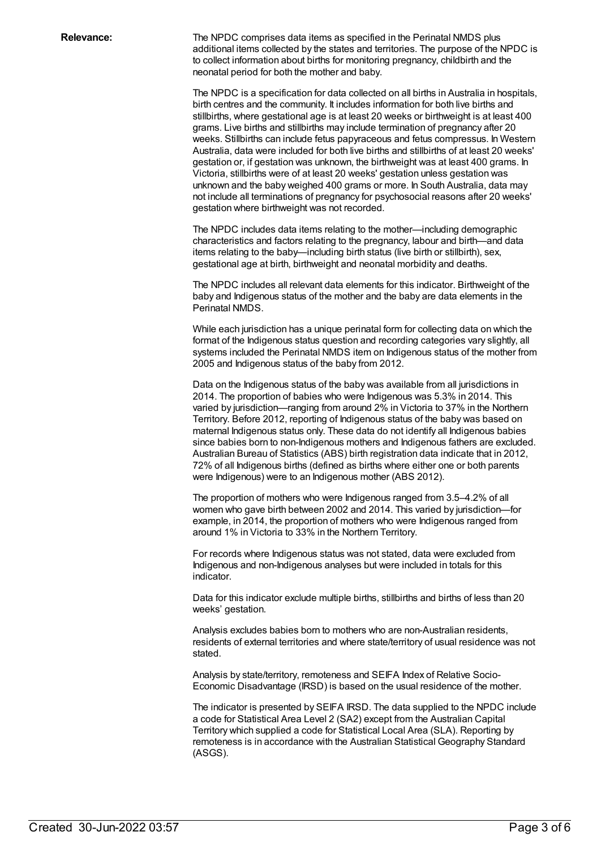**Relevance:** The NPDC comprises data items as specified in the Perinatal NMDS plus additional items collected by the states and territories. The purpose of the NPDC is to collect information about births for monitoring pregnancy, childbirth and the neonatal period for both the mother and baby.

> The NPDC is a specification for data collected on all births in Australia in hospitals, birth centres and the community. It includes information for both live births and stillbirths, where gestational age is at least 20 weeks or birthweight is at least 400 grams. Live births and stillbirths may include termination of pregnancy after 20 weeks. Stillbirths can include fetus papyraceous and fetus compressus. In Western Australia, data were included for both live births and stillbirths of at least 20 weeks' gestation or, if gestation was unknown, the birthweight was at least 400 grams. In Victoria, stillbirths were of at least 20 weeks' gestation unless gestation was unknown and the baby weighed 400 grams or more. In South Australia, data may not include all terminations of pregnancy for psychosocial reasons after 20 weeks' gestation where birthweight was not recorded.

The NPDC includes data items relating to the mother—including demographic characteristics and factors relating to the pregnancy, labour and birth—and data items relating to the baby—including birth status (live birth or stillbirth), sex, gestational age at birth, birthweight and neonatal morbidity and deaths.

The NPDC includes all relevant data elements for this indicator. Birthweight of the baby and Indigenous status of the mother and the baby are data elements in the Perinatal NMDS.

While each jurisdiction has a unique perinatal form for collecting data on which the format of the Indigenous status question and recording categories vary slightly, all systems included the Perinatal NMDS item on Indigenous status of the mother from 2005 and Indigenous status of the baby from 2012.

Data on the Indigenous status of the baby was available from all jurisdictions in 2014. The proportion of babies who were Indigenous was 5.3% in 2014. This varied by jurisdiction—ranging from around 2% in Victoria to 37% in the Northern Territory. Before 2012, reporting of Indigenous status of the baby was based on maternal Indigenous status only. These data do not identify all Indigenous babies since babies born to non-Indigenous mothers and Indigenous fathers are excluded. Australian Bureau of Statistics (ABS) birth registration data indicate that in 2012, 72% of all Indigenous births (defined as births where either one or both parents were Indigenous) were to an Indigenous mother (ABS 2012).

The proportion of mothers who were Indigenous ranged from 3.5–4.2% of all women who gave birth between 2002 and 2014. This varied by jurisdiction—for example, in 2014, the proportion of mothers who were Indigenous ranged from around 1% in Victoria to 33% in the Northern Territory.

For records where Indigenous status was not stated, data were excluded from Indigenous and non-Indigenous analyses but were included in totals for this indicator.

Data for this indicator exclude multiple births, stillbirths and births of less than 20 weeks' gestation.

Analysis excludes babies born to mothers who are non-Australian residents, residents of external territories and where state/territory of usual residence was not stated.

Analysis by state/territory, remoteness and SEIFA Index of Relative Socio-Economic Disadvantage (IRSD) is based on the usual residence of the mother.

The indicator is presented by SEIFA IRSD. The data supplied to the NPDC include a code for Statistical Area Level 2 (SA2) except from the Australian Capital Territory which supplied a code for Statistical Local Area (SLA). Reporting by remoteness is in accordance with the Australian Statistical Geography Standard (ASGS).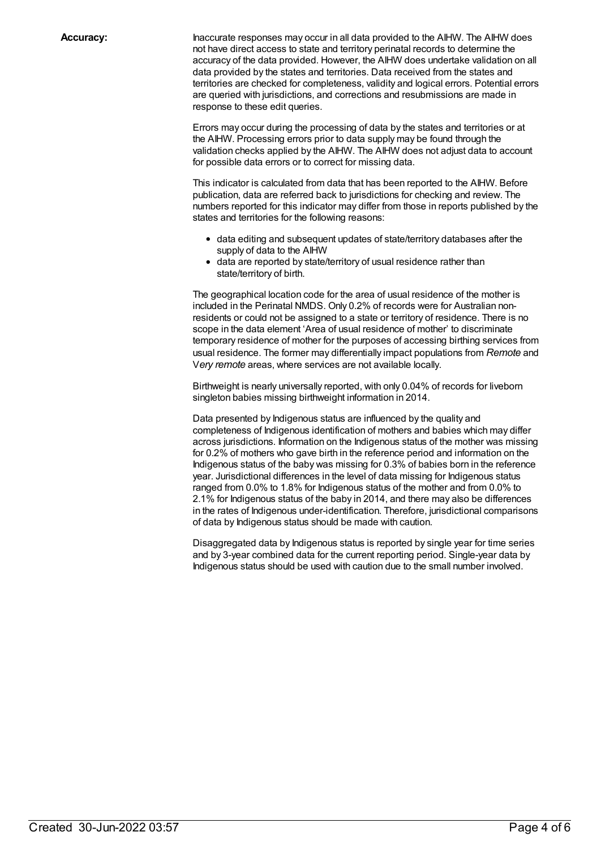**Accuracy:** Inaccurate responses may occur in all data provided to the AIHW. The AIHW does not have direct access to state and territory perinatal records to determine the accuracy of the data provided. However, the AIHW does undertake validation on all data provided by the states and territories. Data received from the states and territories are checked for completeness, validity and logical errors. Potential errors are queried with jurisdictions, and corrections and resubmissions are made in response to these edit queries.

> Errors may occur during the processing of data by the states and territories or at the AIHW. Processing errors prior to data supply may be found through the validation checks applied by the AIHW. The AIHW does not adjust data to account for possible data errors or to correct for missing data.

This indicator is calculated from data that has been reported to the AIHW. Before publication, data are referred back to jurisdictions for checking and review. The numbers reported for this indicator may differ from those in reports published by the states and territories for the following reasons:

- data editing and subsequent updates of state/territory databases after the supply of data to the AIHW
- data are reported by state/territory of usual residence rather than state/territory of birth.

The geographical location code for the area of usual residence of the mother is included in the Perinatal NMDS. Only 0.2% of records were for Australian nonresidents or could not be assigned to a state or territory of residence. There is no scope in the data element 'Area of usual residence of mother' to discriminate temporary residence of mother for the purposes of accessing birthing services from usual residence. The former may differentially impact populations from *Remote* and V*ery remote* areas, where services are not available locally.

Birthweight is nearly universally reported, with only 0.04% of records for liveborn singleton babies missing birthweight information in 2014.

Data presented by Indigenous status are influenced by the quality and completeness of Indigenous identification of mothers and babies which may differ across jurisdictions. Information on the Indigenous status of the mother was missing for 0.2% of mothers who gave birth in the reference period and information on the Indigenous status of the baby was missing for 0.3% of babies born in the reference year. Jurisdictional differences in the level of data missing for Indigenous status ranged from 0.0% to 1.8% for Indigenous status of the mother and from 0.0% to 2.1% for Indigenous status of the baby in 2014, and there may also be differences in the rates of Indigenous under-identification. Therefore, jurisdictional comparisons of data by Indigenous status should be made with caution.

Disaggregated data by Indigenous status is reported by single year for time series and by 3-year combined data for the current reporting period. Single-year data by Indigenous status should be used with caution due to the small number involved.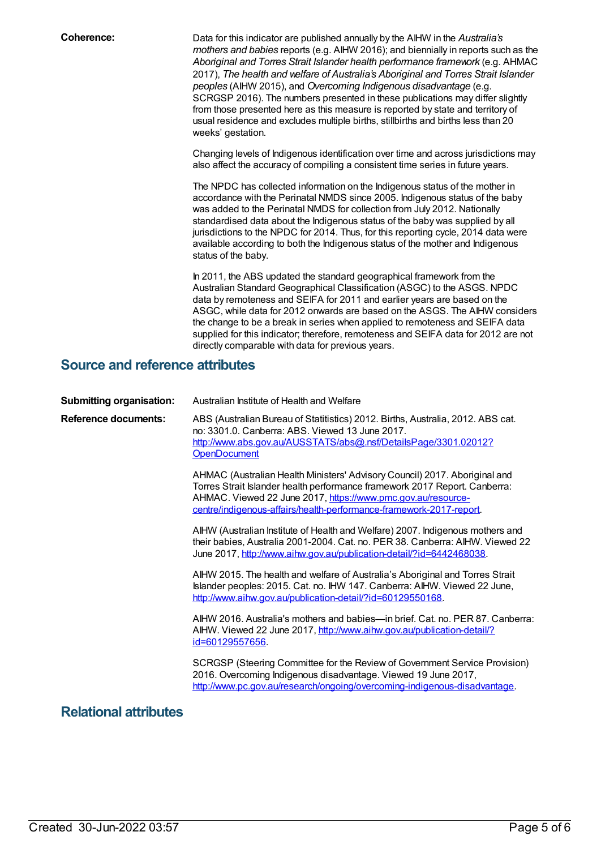**Coherence:** Data for this indicator are published annually by the AIHW in the *Australia's mothers and babies* reports (e.g. AIHW 2016); and biennially in reports such as the *Aboriginal and Torres Strait Islander health performance framework* (e.g. AHMAC 2017), *The health and welfare of Australia's Aboriginal and Torres Strait Islander peoples* (AIHW 2015), and *Overcoming Indigenous disadvantage* (e.g. SCRGSP 2016). The numbers presented in these publications may differ slightly from those presented here as this measure is reported by state and territory of usual residence and excludes multiple births, stillbirths and births less than 20 weeks' gestation.

> Changing levels of Indigenous identification over time and across jurisdictions may also affect the accuracy of compiling a consistent time series in future years.

The NPDC has collected information on the Indigenous status of the mother in accordance with the Perinatal NMDS since 2005. Indigenous status of the baby was added to the Perinatal NMDS for collection from July 2012. Nationally standardised data about the Indigenous status of the baby was supplied by all jurisdictions to the NPDC for 2014. Thus, for this reporting cycle, 2014 data were available according to both the Indigenous status of the mother and Indigenous status of the baby.

In 2011, the ABS updated the standard geographical framework from the Australian Standard Geographical Classification (ASGC) to the ASGS. NPDC data by remoteness and SEIFA for 2011 and earlier years are based on the ASGC, while data for 2012 onwards are based on the ASGS. The AIHW considers the change to be a break in series when applied to remoteness and SEIFA data supplied for this indicator; therefore, remoteness and SEIFA data for 2012 are not directly comparable with data for previous years.

#### **Source and reference attributes**

| <b>Submitting organisation:</b> | Australian Institute of Health and Welfare                                                                                                                                                                                                                                                      |
|---------------------------------|-------------------------------------------------------------------------------------------------------------------------------------------------------------------------------------------------------------------------------------------------------------------------------------------------|
| Reference documents:            | ABS (Australian Bureau of Statitistics) 2012. Births, Australia, 2012. ABS cat.<br>no: 3301.0. Canberra: ABS. Viewed 13 June 2017.<br>http://www.abs.gov.au/AUSSTATS/abs@.nsf/DetailsPage/3301.02012?<br><b>OpenDocument</b>                                                                    |
|                                 | AHMAC (Australian Health Ministers' Advisory Council) 2017. Aboriginal and<br>Torres Strait Islander health performance framework 2017 Report. Canberra:<br>AHMAC. Viewed 22 June 2017, https://www.pmc.gov.au/resource-<br>centre/indigenous-affairs/health-performance-framework-2017-report. |
|                                 | AIHW (Australian Institute of Health and Welfare) 2007. Indigenous mothers and<br>their babies, Australia 2001-2004. Cat. no. PER 38. Canberra: AIHW. Viewed 22<br>June 2017, http://www.aihw.gov.au/publication-detail/?id=6442468038.                                                         |
|                                 | AIHW 2015. The health and welfare of Australia's Aboriginal and Torres Strait<br>Islander peoples: 2015. Cat. no. IHW 147. Canberra: AIHW. Viewed 22 June,<br>http://www.aihw.gov.au/publication-detail/?id=60129550168.                                                                        |
|                                 | AIHW 2016. Australia's mothers and babies—in brief. Cat. no. PER 87. Canberra:<br>AIHW. Viewed 22 June 2017, http://www.aihw.gov.au/publication-detail/?<br><u>id=60129557656</u>                                                                                                               |
|                                 | SCRGSP (Steering Committee for the Review of Government Service Provision)<br>2016. Overcoming Indigenous disadvantage. Viewed 19 June 2017,<br>http://www.pc.gov.au/research/ongoing/overcoming-indigenous-disadvantage.                                                                       |

#### **Relational attributes**